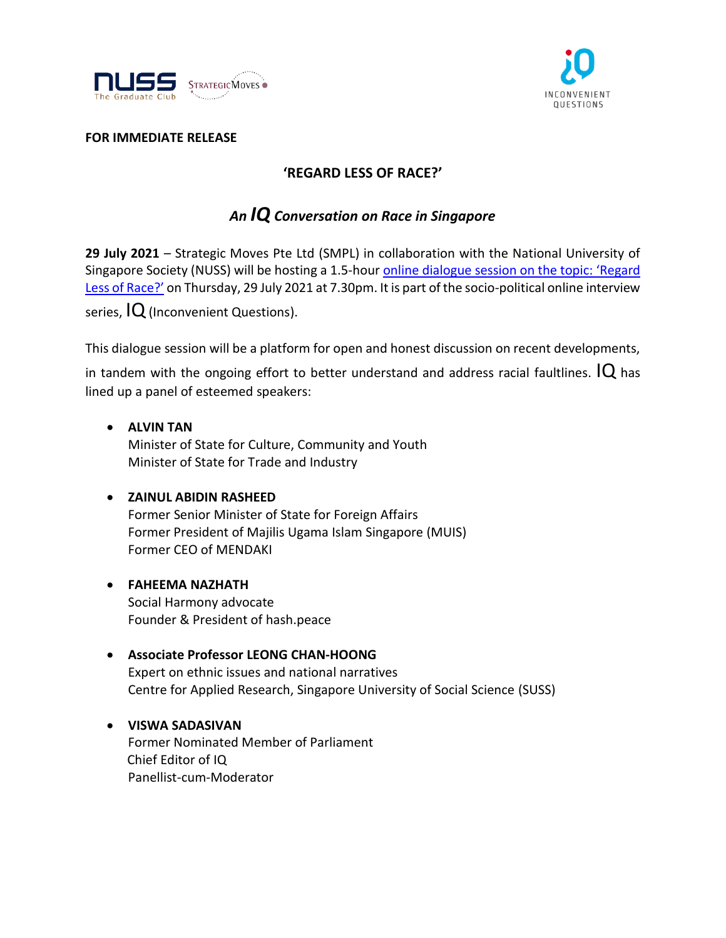



## **FOR IMMEDIATE RELEASE**

## **'REGARD LESS OF RACE?'**

# *An IQ Conversation on Race in Singapore*

**29 July 2021** – Strategic Moves Pte Ltd (SMPL) in collaboration with the National University of Singapore Society (NUSS) will be hosting a 1.5-hour online dialogue [session on the topic:](https://www.youtube.com/watch?v=8jZUXr-734s) 'Regard [Less of Race?'](https://www.youtube.com/watch?v=8jZUXr-734s) on Thursday, 29 July 2021 at 7.30pm. It is part of the socio-political online interview

series,  $IQ$  (Inconvenient Questions).

This dialogue session will be a platform for open and honest discussion on recent developments,

in tandem with the ongoing effort to better understand and address racial faultlines.  $IQ$  has lined up a panel of esteemed speakers:

• **ALVIN TAN** Minister of State for Culture, Community and Youth Minister of State for Trade and Industry

## • **ZAINUL ABIDIN RASHEED**

Former Senior Minister of State for Foreign Affairs Former President of Majilis Ugama Islam Singapore (MUIS) Former CEO of MENDAKI

- **FAHEEMA NAZHATH** Social Harmony advocate Founder & President of hash.peace
- **Associate Professor LEONG CHAN-HOONG** Expert on ethnic issues and national narratives Centre for Applied Research, Singapore University of Social Science (SUSS)
- **VISWA SADASIVAN** Former Nominated Member of Parliament Chief Editor of IQ Panellist-cum-Moderator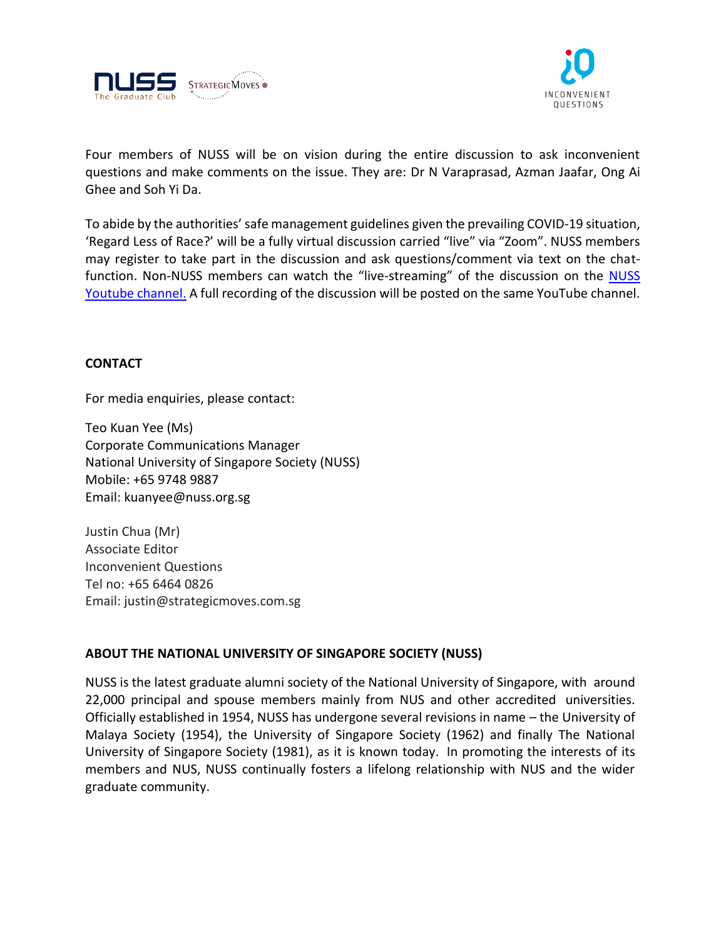



Four members of NUSS will be on vision during the entire discussion to ask inconvenient questions and make comments on the issue. They are: Dr N Varaprasad, Azman Jaafar, Ong Ai Ghee and Soh Yi Da.

To abide by the authorities' safe management guidelines given the prevailing COVID-19 situation, 'Regard Less of Race?' will be a fully virtual discussion carried "live" via "Zoom". NUSS members may register to take part in the discussion and ask questions/comment via text on the chat-function. Non-[NUSS](https://www.youtube.com/watch?v=8jZUXr-734s) members can watch the "live-streaming" of the discussion on the NUSS Youtube [channel.](https://www.youtube.com/watch?v=8jZUXr-734s) A full recording of the discussion will be posted on the same YouTube channel.

## **CONTACT**

For media enquiries, please contact:

Teo Kuan Yee (Ms) Corporate Communications Manager National University of Singapore Society (NUSS) Mobile: +65 9748 9887 Email: kuanyee@nuss.org.sg

Justin Chua (Mr) Associate Editor Inconvenient Questions Tel no: +65 6464 0826 Email: justin@strategicmoves.com.sg

## **ABOUT THE NATIONAL UNIVERSITY OF SINGAPORE SOCIETY (NUSS)**

NUSS is the latest graduate alumni society of the National University of Singapore, with around 22,000 principal and spouse members mainly from NUS and other accredited universities. Officially established in 1954, NUSS has undergone several revisions in name – the University of Malaya Society (1954), the University of Singapore Society (1962) and finally The National University of Singapore Society (1981), as it is known today. In promoting the interests of its members and NUS, NUSS continually fosters a lifelong relationship with NUS and the wider graduate community.